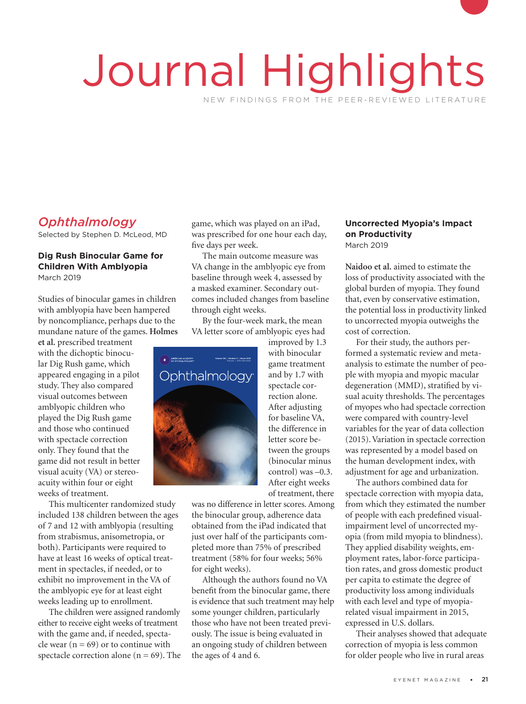# Journal Highlights NEW FINDINGS FROM THE PEER-REVIEWED LITERATURE

# *Ophthalmology*

Selected by Stephen D. McLeod, MD

#### **Dig Rush Binocular Game for Children With Amblyopia** March 2019

Studies of binocular games in children with amblyopia have been hampered by noncompliance, perhaps due to the mundane nature of the games. **Holmes** 

**et al.** prescribed treatment with the dichoptic binocular Dig Rush game, which appeared engaging in a pilot study. They also compared visual outcomes between amblyopic children who<br>played the Dig Rush gam<br>and those who continued played the Dig Rush game and those who continued with spectacle correction only. They found that the game did not result in better visual acuity (VA) or stereoacuity within four or eight weeks of treatment.

This multicenter randomized study included 138 children between the ages of 7 and 12 with amblyopia (resulting from strabismus, anisometropia, or both). Participants were required to have at least 16 weeks of optical treatment in spectacles, if needed, or to exhibit no improvement in the VA of the amblyopic eye for at least eight weeks leading up to enrollment.

The children were assigned randomly either to receive eight weeks of treatment with the game and, if needed, spectacle wear ( $n = 69$ ) or to continue with spectacle correction alone ( $n = 69$ ). The game, which was played on an iPad, was prescribed for one hour each day, five days per week.

The main outcome measure was VA change in the amblyopic eye from baseline through week 4, assessed by a masked examiner. Secondary outcomes included changes from baseline through eight weeks.

By the four-week mark, the mean VA letter score of amblyopic eyes had



improved by 1.3 with binocular game treatment and by 1.7 with spectacle correction alone. After adjusting for baseline VA, the difference in letter score between the groups (binocular minus control) was –0.3. After eight weeks of treatment, there

was no difference in letter scores. Among the binocular group, adherence data obtained from the iPad indicated that just over half of the participants completed more than 75% of prescribed treatment (58% for four weeks; 56% for eight weeks).

Although the authors found no VA benefit from the binocular game, there is evidence that such treatment may help some younger children, particularly those who have not been treated previously. The issue is being evaluated in an ongoing study of children between the ages of 4 and 6.

#### **Uncorrected Myopia's Impact on Productivity** March 2019

**Naidoo et al.** aimed to estimate the loss of productivity associated with the global burden of myopia. They found that, even by conservative estimation, the potential loss in productivity linked to uncorrected myopia outweighs the cost of correction.

For their study, the authors performed a systematic review and metaanalysis to estimate the number of people with myopia and myopic macular degeneration (MMD), stratified by visual acuity thresholds. The percentages of myopes who had spectacle correction were compared with country-level variables for the year of data collection (2015). Variation in spectacle correction was represented by a model based on the human development index, with adjustment for age and urbanization.

The authors combined data for spectacle correction with myopia data, from which they estimated the number of people with each predefined visualimpairment level of uncorrected myopia (from mild myopia to blindness). They applied disability weights, employment rates, labor-force participation rates, and gross domestic product per capita to estimate the degree of productivity loss among individuals with each level and type of myopiarelated visual impairment in 2015, expressed in U.S. dollars.

Their analyses showed that adequate correction of myopia is less common for older people who live in rural areas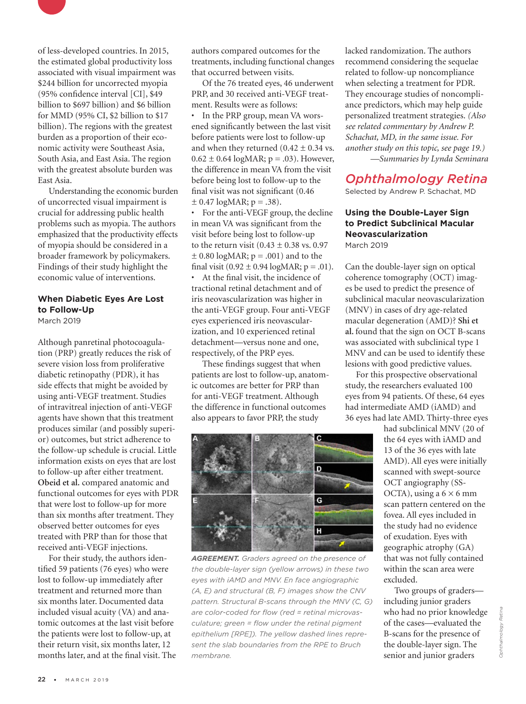

of less-developed countries. In 2015, the estimated global productivity loss associated with visual impairment was \$244 billion for uncorrected myopia (95% confidence interval [CI], \$49 billion to \$697 billion) and \$6 billion for MMD (95% CI, \$2 billion to \$17 billion). The regions with the greatest burden as a proportion of their economic activity were Southeast Asia, South Asia, and East Asia. The region with the greatest absolute burden was East Asia.

Understanding the economic burden of uncorrected visual impairment is crucial for addressing public health problems such as myopia. The authors emphasized that the productivity effects of myopia should be considered in a broader framework by policymakers. Findings of their study highlight the economic value of interventions.

## **When Diabetic Eyes Are Lost to Follow-Up**

March 2019

Although panretinal photocoagulation (PRP) greatly reduces the risk of severe vision loss from proliferative diabetic retinopathy (PDR), it has side effects that might be avoided by using anti-VEGF treatment. Studies of intravitreal injection of anti-VEGF agents have shown that this treatment produces similar (and possibly superior) outcomes, but strict adherence to the follow-up schedule is crucial. Little information exists on eyes that are lost to follow-up after either treatment. **Obeid et al.** compared anatomic and functional outcomes for eyes with PDR that were lost to follow-up for more than six months after treatment. They observed better outcomes for eyes treated with PRP than for those that received anti-VEGF injections.

For their study, the authors identified 59 patients (76 eyes) who were lost to follow-up immediately after treatment and returned more than six months later. Documented data included visual acuity (VA) and anatomic outcomes at the last visit before the patients were lost to follow-up, at their return visit, six months later, 12 months later, and at the final visit. The authors compared outcomes for the treatments, including functional changes that occurred between visits.

Of the 76 treated eyes, 46 underwent PRP, and 30 received anti-VEGF treatment. Results were as follows:

• In the PRP group, mean VA worsened significantly between the last visit before patients were lost to follow-up and when they returned  $(0.42 \pm 0.34 \text{ vs.}$  $0.62 \pm 0.64 \text{ log} \text{MAR}; p = .03$ ). However, the difference in mean VA from the visit before being lost to follow-up to the final visit was not significant (0.46  $\pm$  0.47 logMAR; p = .38).

• For the anti-VEGF group, the decline in mean VA was significant from the visit before being lost to follow-up to the return visit  $(0.43 \pm 0.38 \text{ vs. } 0.97)$  $\pm$  0.80 logMAR;  $p = .001$ ) and to the final visit  $(0.92 \pm 0.94 \text{ log} \text{MAR}; p = .01)$ .

• At the final visit, the incidence of tractional retinal detachment and of iris neovascularization was higher in the anti-VEGF group. Four anti-VEGF eyes experienced iris neovascularization, and 10 experienced retinal detachment—versus none and one, respectively, of the PRP eyes.

These findings suggest that when patients are lost to follow-up, anatomic outcomes are better for PRP than for anti-VEGF treatment. Although the difference in functional outcomes also appears to favor PRP, the study



*AGREEMENT. Graders agreed on the presence of the double-layer sign (yellow arrows) in these two eyes with iAMD and MNV. En face angiographic (A, E) and structural (B, F) images show the CNV pattern. Structural B-scans through the MNV (C, G) are color-coded for flow (red = retinal microvasculature; green = flow under the retinal pigment epithelium [RPE]). The yellow dashed lines represent the slab boundaries from the RPE to Bruch membrane.* 

lacked randomization. The authors recommend considering the sequelae related to follow-up noncompliance when selecting a treatment for PDR. They encourage studies of noncompliance predictors, which may help guide personalized treatment strategies. *(Also see related commentary by Andrew P. Schachat, MD, in the same issue. For another study on this topic, see page 19.) —Summaries by Lynda Seminara*

## *Ophthalmology Retina*

Selected by Andrew P. Schachat, MD

#### **Using the Double-Layer Sign to Predict Subclinical Macular Neovascularization** March 2019

Can the double-layer sign on optical coherence tomography (OCT) images be used to predict the presence of subclinical macular neovascularization (MNV) in cases of dry age-related macular degeneration (AMD)? **Shi et al.** found that the sign on OCT B-scans was associated with subclinical type 1 MNV and can be used to identify these lesions with good predictive values.

For this prospective observational study, the researchers evaluated 100 eyes from 94 patients. Of these, 64 eyes had intermediate AMD (iAMD) and 36 eyes had late AMD. Thirty-three eyes

had subclinical MNV (20 of the 64 eyes with iAMD and 13 of the 36 eyes with late AMD). All eyes were initially scanned with swept-source OCT angiography (SS-OCTA), using a  $6 \times 6$  mm scan pattern centered on the fovea. All eyes included in the study had no evidence of exudation. Eyes with geographic atrophy (GA) that was not fully contained within the scan area were excluded.

Two groups of graders including junior graders who had no prior knowledge of the cases—evaluated the B-scans for the presence of the double-layer sign. The senior and junior graders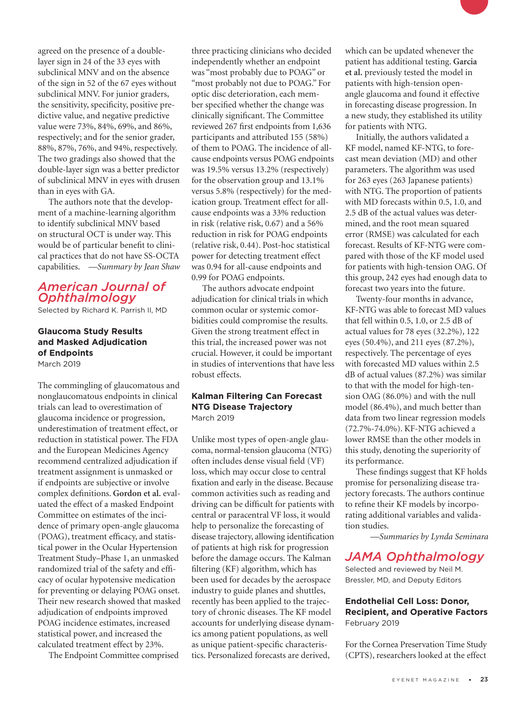agreed on the presence of a doublelayer sign in 24 of the 33 eyes with subclinical MNV and on the absence of the sign in 52 of the 67 eyes without subclinical MNV. For junior graders, the sensitivity, specificity, positive predictive value, and negative predictive value were 73%, 84%, 69%, and 86%, respectively; and for the senior grader, 88%, 87%, 76%, and 94%, respectively. The two gradings also showed that the double-layer sign was a better predictor of subclinical MNV in eyes with drusen than in eyes with GA.

The authors note that the development of a machine-learning algorithm to identify subclinical MNV based on structural OCT is under way. This would be of particular benefit to clinical practices that do not have SS-OCTA capabilities. *—Summary by Jean Shaw*

## *American Journal of Ophthalmology*

Selected by Richard K. Parrish II, MD

#### **Glaucoma Study Results and Masked Adjudication of Endpoints**  March 2019

The commingling of glaucomatous and nonglaucomatous endpoints in clinical trials can lead to overestimation of glaucoma incidence or progression, underestimation of treatment effect, or reduction in statistical power. The FDA and the European Medicines Agency recommend centralized adjudication if treatment assignment is unmasked or if endpoints are subjective or involve complex definitions. **Gordon et al.** evaluated the effect of a masked Endpoint Committee on estimates of the incidence of primary open-angle glaucoma (POAG), treatment efficacy, and statistical power in the Ocular Hypertension Treatment Study–Phase 1, an unmasked randomized trial of the safety and efficacy of ocular hypotensive medication for preventing or delaying POAG onset. Their new research showed that masked adjudication of endpoints improved POAG incidence estimates, increased statistical power, and increased the calculated treatment effect by 23%.

The Endpoint Committee comprised

three practicing clinicians who decided independently whether an endpoint was "most probably due to POAG" or "most probably not due to POAG." For optic disc deterioration, each member specified whether the change was clinically significant. The Committee reviewed 267 first endpoints from 1,636 participants and attributed 155 (58%) of them to POAG. The incidence of allcause endpoints versus POAG endpoints was 19.5% versus 13.2% (respectively) for the observation group and 13.1% versus 5.8% (respectively) for the medication group. Treatment effect for allcause endpoints was a 33% reduction in risk (relative risk, 0.67) and a 56% reduction in risk for POAG endpoints (relative risk, 0.44). Post-hoc statistical power for detecting treatment effect was 0.94 for all-cause endpoints and 0.99 for POAG endpoints.

The authors advocate endpoint adjudication for clinical trials in which common ocular or systemic comorbidities could compromise the results. Given the strong treatment effect in this trial, the increased power was not crucial. However, it could be important in studies of interventions that have less robust effects.

#### **Kalman Filtering Can Forecast NTG Disease Trajectory** March 2019

Unlike most types of open-angle glaucoma, normal-tension glaucoma (NTG) often includes dense visual field (VF) loss, which may occur close to central fixation and early in the disease. Because common activities such as reading and driving can be difficult for patients with central or paracentral VF loss, it would help to personalize the forecasting of disease trajectory, allowing identification of patients at high risk for progression before the damage occurs. The Kalman filtering (KF) algorithm, which has been used for decades by the aerospace industry to guide planes and shuttles, recently has been applied to the trajectory of chronic diseases. The KF model accounts for underlying disease dynamics among patient populations, as well as unique patient-specific characteristics. Personalized forecasts are derived,

which can be updated whenever the patient has additional testing. **Garcia et al.** previously tested the model in patients with high-tension openangle glaucoma and found it effective in forecasting disease progression. In a new study, they established its utility for patients with NTG.

Initially, the authors validated a KF model, named KF-NTG, to forecast mean deviation (MD) and other parameters. The algorithm was used for 263 eyes (263 Japanese patients) with NTG. The proportion of patients with MD forecasts within 0.5, 1.0, and 2.5 dB of the actual values was determined, and the root mean squared error (RMSE) was calculated for each forecast. Results of KF-NTG were compared with those of the KF model used for patients with high-tension OAG. Of this group, 242 eyes had enough data to forecast two years into the future.

Twenty-four months in advance, KF-NTG was able to forecast MD values that fell within 0.5, 1.0, or 2.5 dB of actual values for 78 eyes (32.2%), 122 eyes (50.4%), and 211 eyes (87.2%), respectively. The percentage of eyes with forecasted MD values within 2.5 dB of actual values (87.2%) was similar to that with the model for high-tension OAG (86.0%) and with the null model (86.4%), and much better than data from two linear regression models (72.7%-74.0%). KF-NTG achieved a lower RMSE than the other models in this study, denoting the superiority of its performance.

These findings suggest that KF holds promise for personalizing disease trajectory forecasts. The authors continue to refine their KF models by incorporating additional variables and validation studies.

*—Summaries by Lynda Seminara*

## *JAMA Ophthalmology*

Selected and reviewed by Neil M. Bressler, MD, and Deputy Editors

#### **Endothelial Cell Loss: Donor, Recipient, and Operative Factors**  February 2019

For the Cornea Preservation Time Study (CPTS), researchers looked at the effect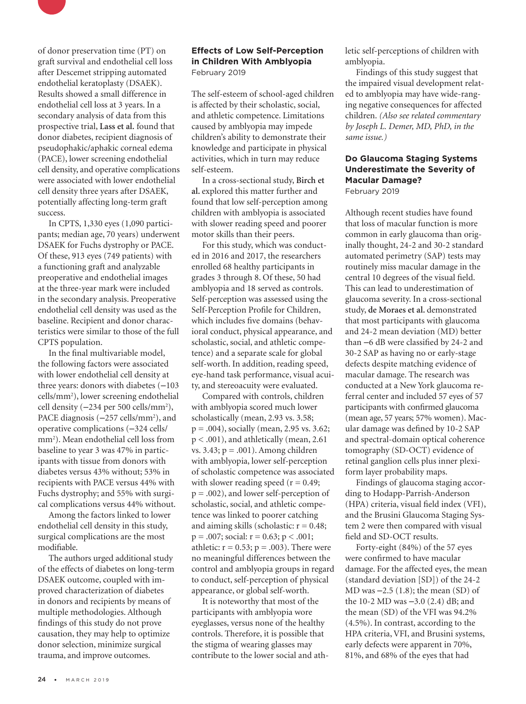

of donor preservation time (PT) on graft survival and endothelial cell loss after Descemet stripping automated endothelial keratoplasty (DSAEK). Results showed a small difference in endothelial cell loss at 3 years. In a secondary analysis of data from this prospective trial, **Lass et al.** found that donor diabetes, recipient diagnosis of pseudophakic/aphakic corneal edema (PACE), lower screening endothelial cell density, and operative complications were associated with lower endothelial cell density three years after DSAEK, potentially affecting long-term graft success.

In CPTS, 1,330 eyes (1,090 participants; median age, 70 years) underwent DSAEK for Fuchs dystrophy or PACE. Of these, 913 eyes (749 patients) with a functioning graft and analyzable preoperative and endothelial images at the three-year mark were included in the secondary analysis. Preoperative endothelial cell density was used as the baseline. Recipient and donor characteristics were similar to those of the full CPTS population.

In the final multivariable model, the following factors were associated with lower endothelial cell density at three years: donors with diabetes  $(-103$ cells/mm2 ), lower screening endothelial cell density (-234 per 500 cells/mm<sup>2</sup>), PACE diagnosis (-257 cells/mm<sup>2</sup>), and operative complications (‒324 cells/ mm2 ). Mean endothelial cell loss from baseline to year 3 was 47% in participants with tissue from donors with diabetes versus 43% without; 53% in recipients with PACE versus 44% with Fuchs dystrophy; and 55% with surgical complications versus 44% without.

Among the factors linked to lower endothelial cell density in this study, surgical complications are the most modifiable.

The authors urged additional study of the effects of diabetes on long-term DSAEK outcome, coupled with improved characterization of diabetes in donors and recipients by means of multiple methodologies. Although findings of this study do not prove causation, they may help to optimize donor selection, minimize surgical trauma, and improve outcomes.

#### **Effects of Low Self-Perception in Children With Amblyopia** February 2019

The self-esteem of school-aged children is affected by their scholastic, social, and athletic competence. Limitations caused by amblyopia may impede children's ability to demonstrate their knowledge and participate in physical activities, which in turn may reduce self-esteem.

In a cross-sectional study, **Birch et al.** explored this matter further and found that low self-perception among children with amblyopia is associated with slower reading speed and poorer motor skills than their peers.

For this study, which was conducted in 2016 and 2017, the researchers enrolled 68 healthy participants in grades 3 through 8. Of these, 50 had amblyopia and 18 served as controls. Self-perception was assessed using the Self-Perception Profile for Children, which includes five domains (behavioral conduct, physical appearance, and scholastic, social, and athletic competence) and a separate scale for global self-worth. In addition, reading speed, eye-hand task performance, visual acuity, and stereoacuity were evaluated.

Compared with controls, children with amblyopia scored much lower scholastically (mean, 2.93 vs. 3.58; p = .004), socially (mean, 2.95 vs. 3.62; p < .001), and athletically (mean, 2.61 vs. 3.43; p = .001). Among children with amblyopia, lower self-perception of scholastic competence was associated with slower reading speed ( $r = 0.49$ ; p = .002), and lower self-perception of scholastic, social, and athletic competence was linked to poorer catching and aiming skills (scholastic:  $r = 0.48$ ;  $p = .007$ ; social:  $r = 0.63$ ;  $p < .001$ ; athletic:  $r = 0.53$ ;  $p = .003$ ). There were no meaningful differences between the control and amblyopia groups in regard to conduct, self-perception of physical appearance, or global self-worth.

It is noteworthy that most of the participants with amblyopia wore eyeglasses, versus none of the healthy controls. Therefore, it is possible that the stigma of wearing glasses may contribute to the lower social and athletic self-perceptions of children with amblyopia.

Findings of this study suggest that the impaired visual development related to amblyopia may have wide-ranging negative consequences for affected children. *(Also see related commentary by Joseph L. Demer, MD, PhD, in the same issue.)* 

## **Do Glaucoma Staging Systems Underestimate the Severity of Macular Damage?**

February 2019

Although recent studies have found that loss of macular function is more common in early glaucoma than originally thought, 24-2 and 30-2 standard automated perimetry (SAP) tests may routinely miss macular damage in the central 10 degrees of the visual field. This can lead to underestimation of glaucoma severity. In a cross-sectional study, **de Moraes et al.** demonstrated that most participants with glaucoma and 24-2 mean deviation (MD) better than  $-6$  dB were classified by 24-2 and 30-2 SAP as having no or early-stage defects despite matching evidence of macular damage. The research was conducted at a New York glaucoma referral center and included 57 eyes of 57 participants with confirmed glaucoma (mean age, 57 years; 57% women). Macular damage was defined by 10-2 SAP and spectral-domain optical coherence tomography (SD-OCT) evidence of retinal ganglion cells plus inner plexiform layer probability maps.

Findings of glaucoma staging according to Hodapp-Parrish-Anderson (HPA) criteria, visual field index (VFI), and the Brusini Glaucoma Staging System 2 were then compared with visual field and SD-OCT results.

Forty-eight (84%) of the 57 eyes were confirmed to have macular damage. For the affected eyes, the mean (standard deviation [SD]) of the 24-2 MD was  $-2.5$  (1.8); the mean (SD) of the 10-2 MD was  $-3.0$  (2.4) dB; and the mean (SD) of the VFI was 94.2% (4.5%). In contrast, according to the HPA criteria, VFI, and Brusini systems, early defects were apparent in 70%, 81%, and 68% of the eyes that had